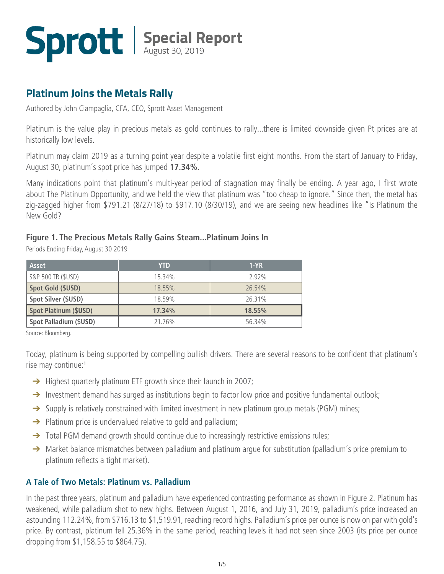### **Platinum Joins the Metals Rally**

Authored by John Ciampaglia, CFA, CEO, Sprott Asset Management

Platinum is the value play in precious metals as gold continues to rally...there is limited downside given Pt prices are at historically low levels.

Platinum may claim 2019 as a turning point year despite a volatile first eight months. From the start of January to Friday, August 30, platinum's spot price has jumped **17.34%**.

Many indications point that platinum's multi-year period of stagnation may finally be ending. A year ago, I first wrote about [The Platinum Opportunity, a](http://www.sprott.com/insights/the-platinum-opportunity-part-1/)nd we held the view that platinum was "too cheap to ignore." Since then, the metal has zig-zagged higher from \$791.21 (8/27/18) to \$917.10 (8/30/19), and we are seeing new headlines like "Is Platinum the New Gold?

#### **Figure 1. The Precious Metals Rally Gains Steam...Platinum Joins In**

Periods Ending Friday, August 30 2019

| <b>Asset</b>                 | <b>YTD</b> | $1-YR$ |
|------------------------------|------------|--------|
| S&P 500 TR (\$USD)           | 15.34%     | 2.92%  |
| <b>Spot Gold (\$USD)</b>     | 18.55%     | 26.54% |
| Spot Silver (\$USD)          | 18.59%     | 26.31% |
| <b>Spot Platinum (\$USD)</b> | 17.34%     | 18.55% |
| Spot Palladium (\$USD)       | 21.76%     | 56.34% |

Source: Bloomberg.

Today, platinum is being supported by compelling bullish drivers. There are several reasons to be confident that platinum's rise may continue:1

- → Highest quarterly platinum ETF growth since their launch in 2007;
- → Investment demand has surged as institutions begin to factor low price and positive fundamental outlook;
- → Supply is relatively constrained with limited investment in new platinum group metals (PGM) mines;
- → Platinum price is undervalued relative to gold and palladium;
- → Total PGM demand growth should continue due to increasingly restrictive emissions rules;
- → Market balance mismatches between palladium and platinum argue for substitution (palladium's price premium to platinum reflects a tight market).

#### **A Tale of Two Metals: Platinum vs. Palladium**

In the past three years, platinum and palladium have experienced contrasting performance as shown in Figure 2. Platinum has weakened, while palladium shot to new highs. Between August 1, 2016, and July 31, 2019, palladium's price increased an astounding 112.24%, from \$716.13 to \$1,519.91, reaching record highs. Palladium's price per ounce is now on par with gold's price. By contrast, platinum fell 25.36% in the same period, reaching levels it had not seen since 2003 (its price per ounce dropping from \$1,158.55 to \$864.75).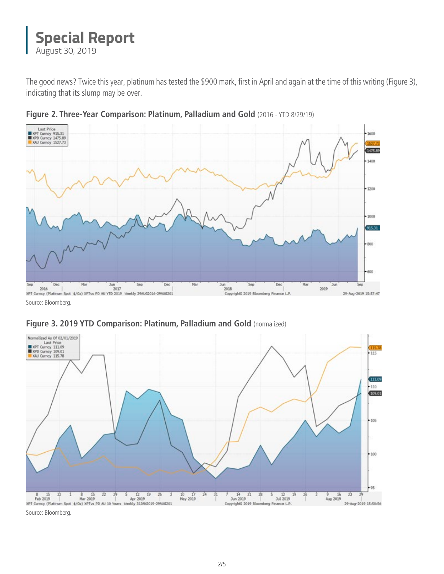The good news? Twice this year, platinum has tested the \$900 mark, first in April and again at the time of this writing (Figure 3), indicating that its slump may be over.



**Figure 2. Three-Year Comparison: Platinum, Palladium and Gold** (2016 - YTD 8/29/19)

Source: Bloomberg.





Source: Bloomberg.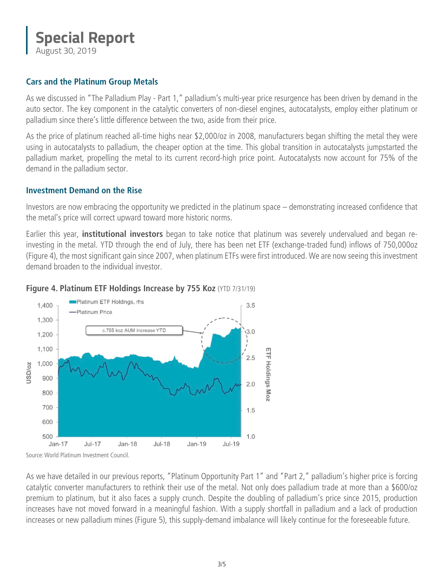#### **Cars and the Platinum Group Metals**

As we discussed in ["The Palladium Play - Part 1,"](http://sprott.com/insights/the-palladium-play-part-1/) palladium's multi-year price resurgence has been driven by demand in the auto sector. The key component in the catalytic converters of non-diesel engines, autocatalysts, employ either platinum or palladium since there's little difference between the two, aside from their price.

As the price of platinum reached all-time highs near \$2,000/oz in 2008, manufacturers began shifting the metal they were using in autocatalysts to palladium, the cheaper option at the time. This global transition in autocatalysts jumpstarted the palladium market, propelling the metal to its current record-high price point. Autocatalysts now account for 75% of the demand in the palladium sector.

#### **Investment Demand on the Rise**

Investors are now embracing the opportunity we predicted in the platinum space – demonstrating increased confidence that the metal's price will correct upward toward more historic norms.

Earlier this year, **institutional investors** began to take notice that platinum was severely undervalued and began reinvesting in the metal. YTD through the end of July, there has been net ETF (exchange-traded fund) inflows of 750,000oz (Figure 4), the most significant gain since 2007, when platinum ETFs were first introduced. We are now seeing this investment demand broaden to the individual investor.



#### **Figure 4. Platinum ETF Holdings Increase by 755 Koz** (YTD 7/31/19)

As we have detailed in our previous reports, ["Platinum Opportunity Part 1"](http://sprott.com/insights/the-platinum-opportunity-part-1/) and ["Part 2,"](http://sprott.com/insights/the-platinum-opportunity-part-2/) palladium's higher price is forcing catalytic converter manufacturers to rethink their use of the metal. Not only does palladium trade at more than a \$600/oz premium to platinum, but it also faces a supply crunch. Despite the doubling of palladium's price since 2015, production increases have not moved forward in a meaningful fashion. With a supply shortfall in palladium and a lack of production increases or new palladium mines (Figure 5), this supply-demand imbalance will likely continue for the foreseeable future.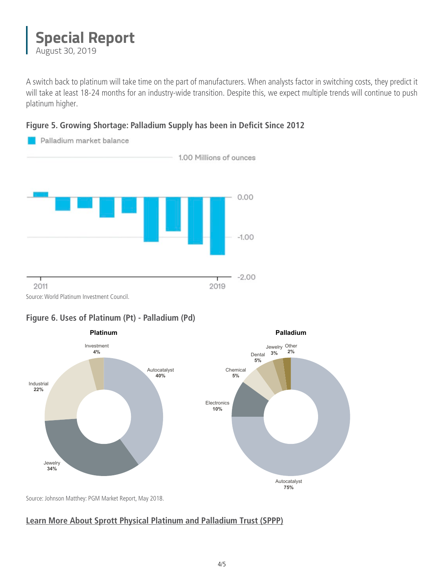A switch back to platinum will take time on the part of manufacturers. When analysts factor in switching costs, they predict it will take [at least 18-24 months](http://sprott.com/insights/the-palladium-play-part-2/) for an industry-wide transition. Despite this, we expect multiple trends will continue to push platinum higher.

#### **Figure 5. Growing Shortage: Palladium Supply has been in Deficit Since 2012**



#### **Figure 6. Uses of Platinum (Pt) - Palladium (Pd)**



Source[: Johnson Matthey: PGM Market Report, May 2018.](http://www.platinum.matthey.com/documents/new-item/pgm%20market%20reports/pgm_market_report_may_2018.pdf)

#### **[Learn More About Sprott Physical Platinum and Palladium Trust \(SPPP\)](http://sprott.com/investment-strategies/physical-bullion-trusts/platinum-and-palladium/net-asset-value-premium-discount/)**